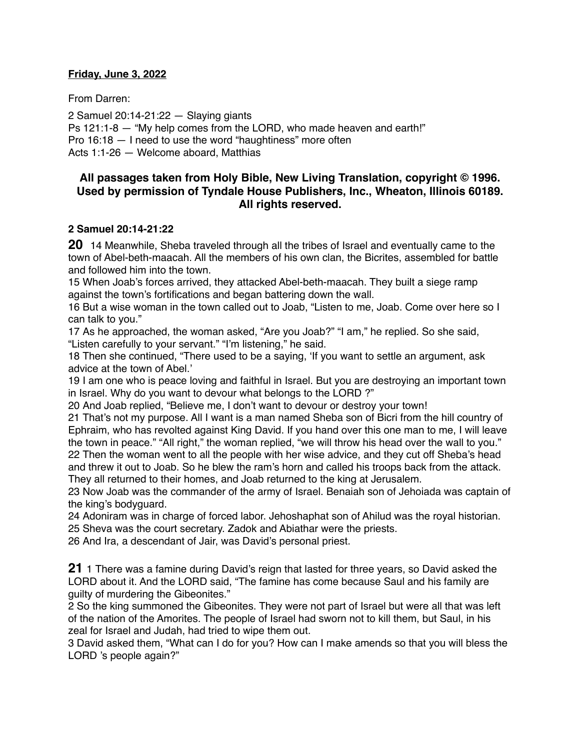### **Friday, June 3, 2022**

From Darren:

2 Samuel 20:14-21:22 — Slaying giants Ps 121:1-8 — "My help comes from the LORD, who made heaven and earth!" Pro 16:18 — I need to use the word "haughtiness" more often Acts 1:1-26 — Welcome aboard, Matthias

# **All passages taken from Holy Bible, [New Living Translation](http://www.newlivingtranslation.com/), copyright © 1996. Used by permission of [Tyndale House Publishers](http://tyndale.com/), Inc., Wheaton, Illinois 60189. All rights reserved.**

### **2 Samuel 20:14-21:22**

**20** 14 Meanwhile, Sheba traveled through all the tribes of Israel and eventually came to the town of Abel-beth-maacah. All the members of his own clan, the Bicrites, assembled for battle and followed him into the town.

15 When Joab's forces arrived, they attacked Abel-beth-maacah. They built a siege ramp against the town's fortifications and began battering down the wall.

16 But a wise woman in the town called out to Joab, "Listen to me, Joab. Come over here so I can talk to you."

17 As he approached, the woman asked, "Are you Joab?" "I am," he replied. So she said, "Listen carefully to your servant." "I'm listening," he said.

18 Then she continued, "There used to be a saying, 'If you want to settle an argument, ask advice at the town of Abel.'

19 I am one who is peace loving and faithful in Israel. But you are destroying an important town in Israel. Why do you want to devour what belongs to the LORD ?"

20 And Joab replied, "Believe me, I don't want to devour or destroy your town!

21 That's not my purpose. All I want is a man named Sheba son of Bicri from the hill country of Ephraim, who has revolted against King David. If you hand over this one man to me, I will leave the town in peace." "All right," the woman replied, "we will throw his head over the wall to you." 22 Then the woman went to all the people with her wise advice, and they cut off Sheba's head and threw it out to Joab. So he blew the ram's horn and called his troops back from the attack. They all returned to their homes, and Joab returned to the king at Jerusalem.

23 Now Joab was the commander of the army of Israel. Benaiah son of Jehoiada was captain of the king's bodyguard.

24 Adoniram was in charge of forced labor. Jehoshaphat son of Ahilud was the royal historian. 25 Sheva was the court secretary. Zadok and Abiathar were the priests.

26 And Ira, a descendant of Jair, was David's personal priest.

**21** 1 There was a famine during David's reign that lasted for three years, so David asked the LORD about it. And the LORD said, "The famine has come because Saul and his family are guilty of murdering the Gibeonites."

2 So the king summoned the Gibeonites. They were not part of Israel but were all that was left of the nation of the Amorites. The people of Israel had sworn not to kill them, but Saul, in his zeal for Israel and Judah, had tried to wipe them out.

3 David asked them, "What can I do for you? How can I make amends so that you will bless the LORD 's people again?"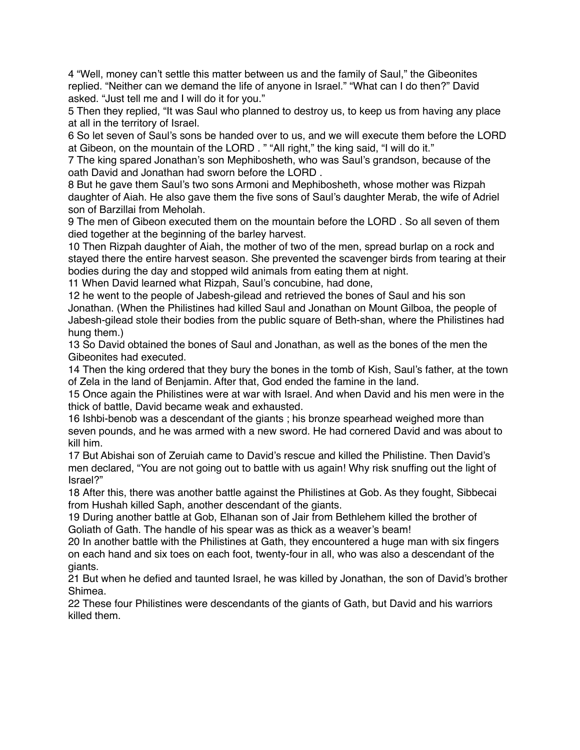4 "Well, money can't settle this matter between us and the family of Saul," the Gibeonites replied. "Neither can we demand the life of anyone in Israel." "What can I do then?" David asked. "Just tell me and I will do it for you."

5 Then they replied, "It was Saul who planned to destroy us, to keep us from having any place at all in the territory of Israel.

6 So let seven of Saul's sons be handed over to us, and we will execute them before the LORD at Gibeon, on the mountain of the LORD . " "All right," the king said, "I will do it."

7 The king spared Jonathan's son Mephibosheth, who was Saul's grandson, because of the oath David and Jonathan had sworn before the LORD .

8 But he gave them Saul's two sons Armoni and Mephibosheth, whose mother was Rizpah daughter of Aiah. He also gave them the five sons of Saul's daughter Merab, the wife of Adriel son of Barzillai from Meholah.

9 The men of Gibeon executed them on the mountain before the LORD . So all seven of them died together at the beginning of the barley harvest.

10 Then Rizpah daughter of Aiah, the mother of two of the men, spread burlap on a rock and stayed there the entire harvest season. She prevented the scavenger birds from tearing at their bodies during the day and stopped wild animals from eating them at night.

11 When David learned what Rizpah, Saul's concubine, had done,

12 he went to the people of Jabesh-gilead and retrieved the bones of Saul and his son Jonathan. (When the Philistines had killed Saul and Jonathan on Mount Gilboa, the people of Jabesh-gilead stole their bodies from the public square of Beth-shan, where the Philistines had hung them.)

13 So David obtained the bones of Saul and Jonathan, as well as the bones of the men the Gibeonites had executed.

14 Then the king ordered that they bury the bones in the tomb of Kish, Saul's father, at the town of Zela in the land of Benjamin. After that, God ended the famine in the land.

15 Once again the Philistines were at war with Israel. And when David and his men were in the thick of battle, David became weak and exhausted.

16 Ishbi-benob was a descendant of the giants ; his bronze spearhead weighed more than seven pounds, and he was armed with a new sword. He had cornered David and was about to kill him.

17 But Abishai son of Zeruiah came to David's rescue and killed the Philistine. Then David's men declared, "You are not going out to battle with us again! Why risk snuffing out the light of Israel?"

18 After this, there was another battle against the Philistines at Gob. As they fought, Sibbecai from Hushah killed Saph, another descendant of the giants.

19 During another battle at Gob, Elhanan son of Jair from Bethlehem killed the brother of Goliath of Gath. The handle of his spear was as thick as a weaver's beam!

20 In another battle with the Philistines at Gath, they encountered a huge man with six fingers on each hand and six toes on each foot, twenty-four in all, who was also a descendant of the giants.

21 But when he defied and taunted Israel, he was killed by Jonathan, the son of David's brother Shimea.

22 These four Philistines were descendants of the giants of Gath, but David and his warriors killed them.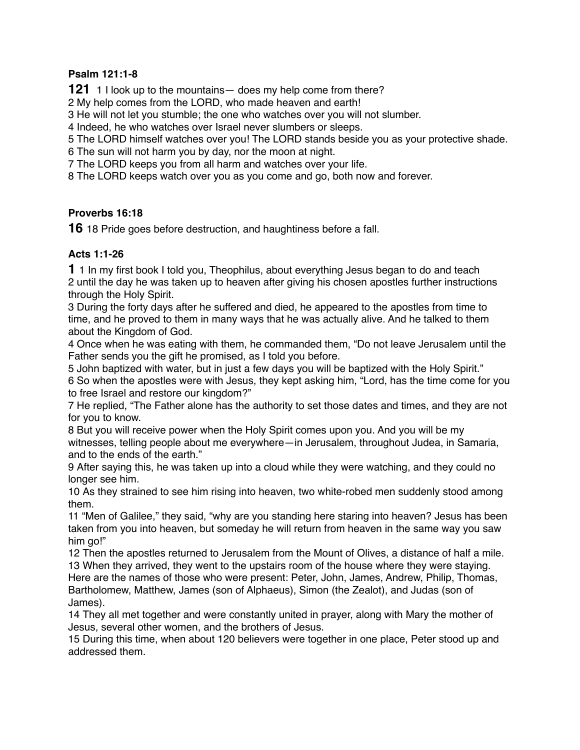# **Psalm 121:1-8**

**121** 1 I look up to the mountains— does my help come from there?

2 My help comes from the LORD, who made heaven and earth!

3 He will not let you stumble; the one who watches over you will not slumber.

4 Indeed, he who watches over Israel never slumbers or sleeps.

5 The LORD himself watches over you! The LORD stands beside you as your protective shade.

6 The sun will not harm you by day, nor the moon at night.

7 The LORD keeps you from all harm and watches over your life.

8 The LORD keeps watch over you as you come and go, both now and forever.

# **Proverbs 16:18**

**16** 18 Pride goes before destruction, and haughtiness before a fall.

# **Acts 1:1-26**

**1** 1 In my first book I told you, Theophilus, about everything Jesus began to do and teach 2 until the day he was taken up to heaven after giving his chosen apostles further instructions through the Holy Spirit.

3 During the forty days after he suffered and died, he appeared to the apostles from time to time, and he proved to them in many ways that he was actually alive. And he talked to them about the Kingdom of God.

4 Once when he was eating with them, he commanded them, "Do not leave Jerusalem until the Father sends you the gift he promised, as I told you before.

5 John baptized with water, but in just a few days you will be baptized with the Holy Spirit." 6 So when the apostles were with Jesus, they kept asking him, "Lord, has the time come for you

to free Israel and restore our kingdom?"

7 He replied, "The Father alone has the authority to set those dates and times, and they are not for you to know.

8 But you will receive power when the Holy Spirit comes upon you. And you will be my witnesses, telling people about me everywhere—in Jerusalem, throughout Judea, in Samaria, and to the ends of the earth."

9 After saying this, he was taken up into a cloud while they were watching, and they could no longer see him.

10 As they strained to see him rising into heaven, two white-robed men suddenly stood among them.

11 "Men of Galilee," they said, "why are you standing here staring into heaven? Jesus has been taken from you into heaven, but someday he will return from heaven in the same way you saw him go!"

12 Then the apostles returned to Jerusalem from the Mount of Olives, a distance of half a mile. 13 When they arrived, they went to the upstairs room of the house where they were staying. Here are the names of those who were present: Peter, John, James, Andrew, Philip, Thomas, Bartholomew, Matthew, James (son of Alphaeus), Simon (the Zealot), and Judas (son of James).

14 They all met together and were constantly united in prayer, along with Mary the mother of Jesus, several other women, and the brothers of Jesus.

15 During this time, when about 120 believers were together in one place, Peter stood up and addressed them.